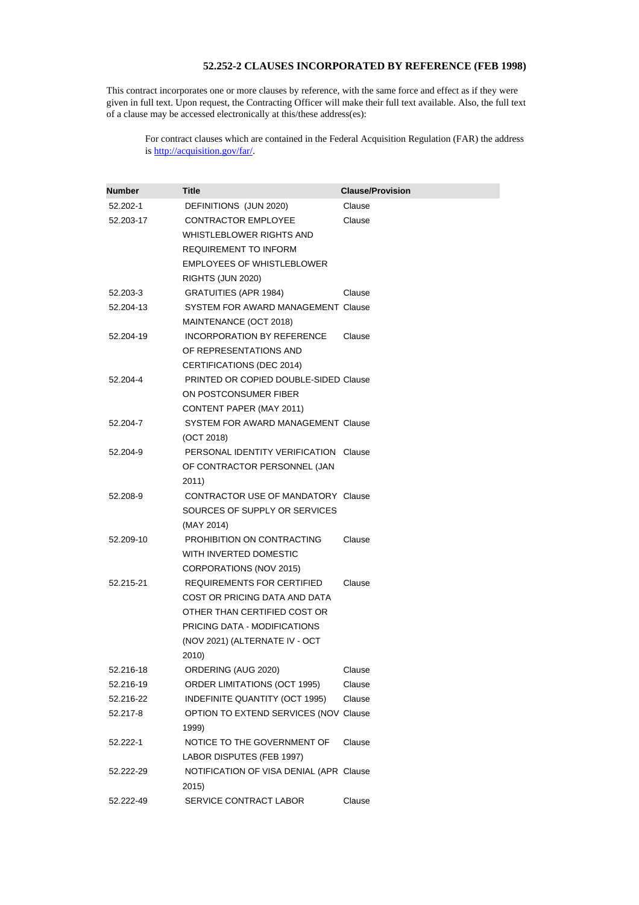## **52.252-2 CLAUSES INCORPORATED BY REFERENCE (FEB 1998)**

This contract incorporates one or more clauses by reference, with the same force and effect as if they were given in full text. Upon request, the Contracting Officer will make their full text available. Also, the full text of a clause may be accessed electronically at this/these address(es):

For contract clauses which are contained in the Federal Acquisition Regulation (FAR) the address is <http://acquisition.gov/far/>.

| <b>Number</b> | <b>Title</b>                                     | <b>Clause/Provision</b> |
|---------------|--------------------------------------------------|-------------------------|
| 52.202-1      | DEFINITIONS (JUN 2020)                           | Clause                  |
| 52.203-17     | <b>CONTRACTOR EMPLOYEE</b>                       | Clause                  |
|               | WHISTLEBLOWER RIGHTS AND                         |                         |
|               | REQUIREMENT TO INFORM                            |                         |
|               | EMPLOYEES OF WHISTLEBLOWER                       |                         |
|               | RIGHTS (JUN 2020)                                |                         |
| 52.203-3      | <b>GRATUITIES (APR 1984)</b>                     | Clause                  |
| 52.204-13     | SYSTEM FOR AWARD MANAGEMENT Clause               |                         |
|               | MAINTENANCE (OCT 2018)                           |                         |
| 52.204-19     | INCORPORATION BY REFERENCE                       | Clause                  |
|               | OF REPRESENTATIONS AND                           |                         |
|               | CERTIFICATIONS (DEC 2014)                        |                         |
| 52.204-4      | PRINTED OR COPIED DOUBLE-SIDED Clause            |                         |
|               | ON POSTCONSUMER FIBER                            |                         |
|               | CONTENT PAPER (MAY 2011)                         |                         |
| 52.204-7      | SYSTEM FOR AWARD MANAGEMENT Clause               |                         |
|               | (OCT 2018)                                       |                         |
| 52.204-9      | PERSONAL IDENTITY VERIFICATION Clause            |                         |
|               | OF CONTRACTOR PERSONNEL (JAN                     |                         |
|               | 2011)                                            |                         |
| 52.208-9      | CONTRACTOR USE OF MANDATORY Clause               |                         |
|               | SOURCES OF SUPPLY OR SERVICES                    |                         |
|               | (MAY 2014)                                       |                         |
| 52.209-10     | PROHIBITION ON CONTRACTING                       | Clause                  |
|               | WITH INVERTED DOMESTIC                           |                         |
|               | CORPORATIONS (NOV 2015)                          |                         |
| 52.215-21     | REQUIREMENTS FOR CERTIFIED                       | Clause                  |
|               | COST OR PRICING DATA AND DATA                    |                         |
|               | OTHER THAN CERTIFIED COST OR                     |                         |
|               | PRICING DATA - MODIFICATIONS                     |                         |
|               | (NOV 2021) (ALTERNATE IV - OCT                   |                         |
|               | 2010)                                            |                         |
| 52.216-18     | ORDERING (AUG 2020)                              | Clause                  |
| 52.216-19     | ORDER LIMITATIONS (OCT 1995)                     | Clause                  |
| 52.216-22     | INDEFINITE QUANTITY (OCT 1995)                   | Clause                  |
| 52.217-8      | OPTION TO EXTEND SERVICES (NOV Clause            |                         |
|               | 1999)                                            |                         |
| 52.222-1      | NOTICE TO THE GOVERNMENT OF                      | Clause                  |
|               | LABOR DISPUTES (FEB 1997)                        |                         |
| 52.222-29     | NOTIFICATION OF VISA DENIAL (APR Clause<br>2015) |                         |
| 52.222-49     | SERVICE CONTRACT LABOR                           | Clause                  |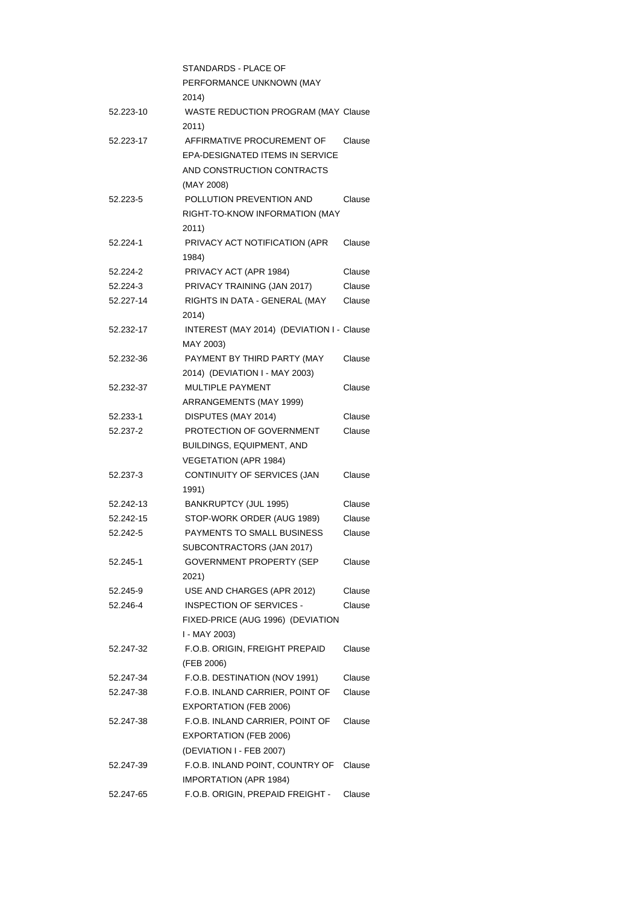|           | STANDARDS - PLACE OF                            |        |
|-----------|-------------------------------------------------|--------|
|           | PERFORMANCE UNKNOWN (MAY                        |        |
|           | 2014)                                           |        |
| 52.223-10 | WASTE REDUCTION PROGRAM (MAY Clause             |        |
|           | 2011)                                           |        |
| 52.223-17 | AFFIRMATIVE PROCUREMENT OF                      | Clause |
|           | EPA-DESIGNATED ITEMS IN SERVICE                 |        |
|           | AND CONSTRUCTION CONTRACTS                      |        |
|           | (MAY 2008)                                      |        |
| 52.223-5  | POLLUTION PREVENTION AND                        | Clause |
|           | RIGHT-TO-KNOW INFORMATION (MAY                  |        |
|           | 2011)                                           |        |
| 52.224-1  | PRIVACY ACT NOTIFICATION (APR                   | Clause |
|           | 1984)                                           |        |
| 52.224-2  | PRIVACY ACT (APR 1984)                          | Clause |
| 52.224-3  | PRIVACY TRAINING (JAN 2017)                     | Clause |
| 52.227-14 | RIGHTS IN DATA - GENERAL (MAY                   | Clause |
|           | 2014)                                           |        |
| 52.232-17 | INTEREST (MAY 2014) (DEVIATION I - Clause       |        |
|           | MAY 2003)                                       |        |
| 52.232-36 | PAYMENT BY THIRD PARTY (MAY                     | Clause |
|           | 2014) (DEVIATION I - MAY 2003)                  |        |
| 52.232-37 | <b>MULTIPLE PAYMENT</b>                         | Clause |
|           |                                                 |        |
|           | ARRANGEMENTS (MAY 1999)                         |        |
| 52.233-1  | DISPUTES (MAY 2014)<br>PROTECTION OF GOVERNMENT | Clause |
| 52.237-2  |                                                 | Clause |
|           | BUILDINGS, EQUIPMENT, AND                       |        |
|           | <b>VEGETATION (APR 1984)</b>                    |        |
| 52.237-3  | CONTINUITY OF SERVICES (JAN                     | Clause |
|           | 1991)                                           |        |
| 52.242-13 | BANKRUPTCY (JUL 1995)                           | Clause |
| 52.242-15 | STOP-WORK ORDER (AUG 1989)                      | Clause |
| 52.242-5  | <b>PAYMENTS TO SMALL BUSINESS</b>               | Clause |
|           | SUBCONTRACTORS (JAN 2017)                       |        |
| 52.245-1  | <b>GOVERNMENT PROPERTY (SEP</b>                 | Clause |
|           | 2021)                                           |        |
| 52.245-9  | USE AND CHARGES (APR 2012)                      | Clause |
| 52.246-4  | INSPECTION OF SERVICES -                        | Clause |
|           | FIXED-PRICE (AUG 1996) (DEVIATION               |        |
|           | I - MAY 2003)                                   |        |
| 52.247-32 | F.O.B. ORIGIN, FREIGHT PREPAID                  | Clause |
|           | (FEB 2006)                                      |        |
| 52.247-34 | F.O.B. DESTINATION (NOV 1991)                   | Clause |
| 52.247-38 | F.O.B. INLAND CARRIER, POINT OF                 | Clause |
|           | EXPORTATION (FEB 2006)                          |        |
| 52.247-38 | F.O.B. INLAND CARRIER, POINT OF                 | Clause |
|           | EXPORTATION (FEB 2006)                          |        |
|           | (DEVIATION I - FEB 2007)                        |        |
| 52.247-39 | F.O.B. INLAND POINT, COUNTRY OF                 | Clause |
|           | <b>IMPORTATION (APR 1984)</b>                   |        |
| 52.247-65 | F.O.B. ORIGIN, PREPAID FREIGHT -                | Clause |